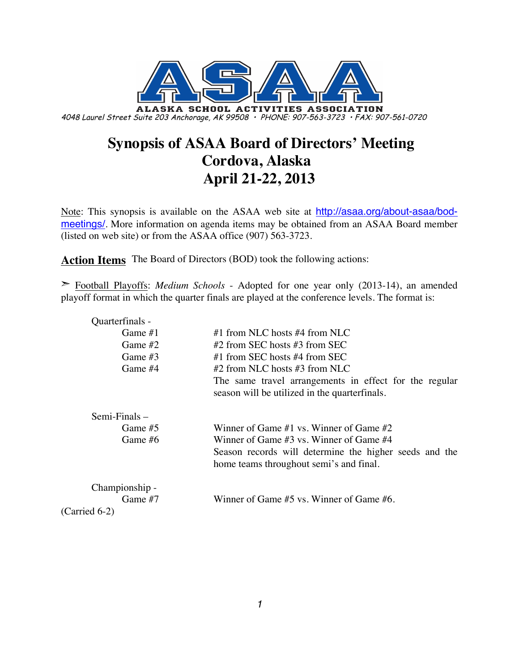

# **Synopsis of ASAA Board of Directors' Meeting Cordova, Alaska April 21-22, 2013**

Note: This synopsis is available on the ASAA web site at http://asaa.org/about-asaa/bodmeetings/. More information on agenda items may be obtained from an ASAA Board member (listed on web site) or from the ASAA office (907) 563-3723.

**Action Items** The Board of Directors (BOD) took the following actions:

➣ Football Playoffs: *Medium Schools* - Adopted for one year only (2013-14), an amended playoff format in which the quarter finals are played at the conference levels. The format is:

| Quarterfinals - |                                                                                                          |
|-----------------|----------------------------------------------------------------------------------------------------------|
| Game $#1$       | #1 from NLC hosts #4 from NLC                                                                            |
| Game $#2$       | #2 from SEC hosts #3 from SEC                                                                            |
| Game #3         | #1 from SEC hosts #4 from SEC                                                                            |
| Game #4         | #2 from NLC hosts #3 from NLC                                                                            |
|                 | The same travel arrangements in effect for the regular<br>season will be utilized in the quarter finals. |
| Semi-Finals –   |                                                                                                          |
| Game $#5$       | Winner of Game #1 vs. Winner of Game #2                                                                  |
| Game #6         | Winner of Game #3 vs. Winner of Game #4                                                                  |
|                 | Season records will determine the higher seeds and the<br>home teams throughout semi's and final.        |
| Championship -  |                                                                                                          |
| Game #7         | Winner of Game $#5$ vs. Winner of Game $#6$ .                                                            |
| $(Carried 6-2)$ |                                                                                                          |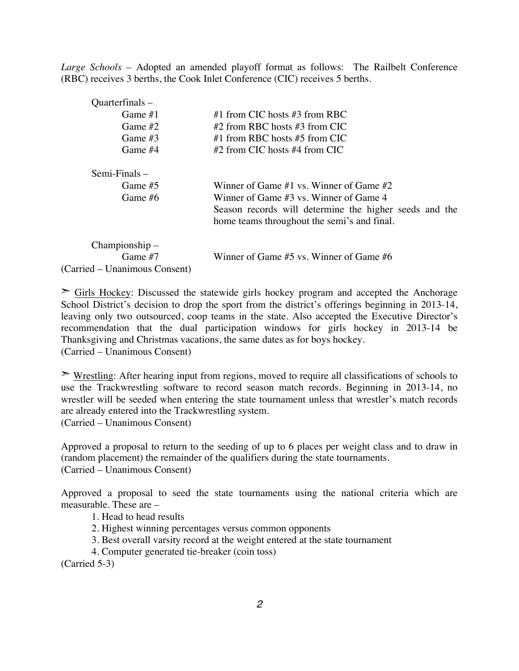*Large Schools* – Adopted an amended playoff format as follows: The Railbelt Conference (RBC) receives 3 berths, the Cook Inlet Conference (CIC) receives 5 berths.

| Quarterfinals –               |                                                        |
|-------------------------------|--------------------------------------------------------|
| Game $#1$                     | #1 from CIC hosts #3 from RBC                          |
| Game $#2$                     | #2 from RBC hosts #3 from CIC                          |
| Game $#3$                     | #1 from RBC hosts #5 from CIC                          |
| Game #4                       | $#2$ from CIC hosts $#4$ from CIC                      |
| $Semi-Finals -$               |                                                        |
| Game #5                       | Winner of Game $#1$ vs. Winner of Game $#2$            |
| Game $#6$                     | Winner of Game $#3$ vs. Winner of Game 4               |
|                               | Season records will determine the higher seeds and the |
|                               | home teams throughout the semi's and final.            |
| Championship –                |                                                        |
| Game $#7$                     | Winner of Game #5 vs. Winner of Game #6                |
| (Carried – Unanimous Consent) |                                                        |

 $\geq$  Girls Hockey: Discussed the statewide girls hockey program and accepted the Anchorage School District's decision to drop the sport from the district's offerings beginning in 2013-14, leaving only two outsourced, coop teams in the state. Also accepted the Executive Director's recommendation that the dual participation windows for girls hockey in 2013-14 be Thanksgiving and Christmas vacations, the same dates as for boys hockey. (Carried – Unanimous Consent)

 $\triangleright$  Wrestling: After hearing input from regions, moved to require all classifications of schools to use the Trackwrestling software to record season match records. Beginning in 2013-14, no wrestler will be seeded when entering the state tournament unless that wrestler's match records are already entered into the Trackwrestling system.

(Carried – Unanimous Consent)

Approved a proposal to return to the seeding of up to 6 places per weight class and to draw in (random placement) the remainder of the qualifiers during the state tournaments. (Carried – Unanimous Consent)

Approved a proposal to seed the state tournaments using the national criteria which are measurable. These are –

1. Head to head results

- 2. Highest winning percentages versus common opponents
- 3. Best overall varsity record at the weight entered at the state tournament
- 4. Computer generated tie-breaker (coin toss)

(Carried 5-3)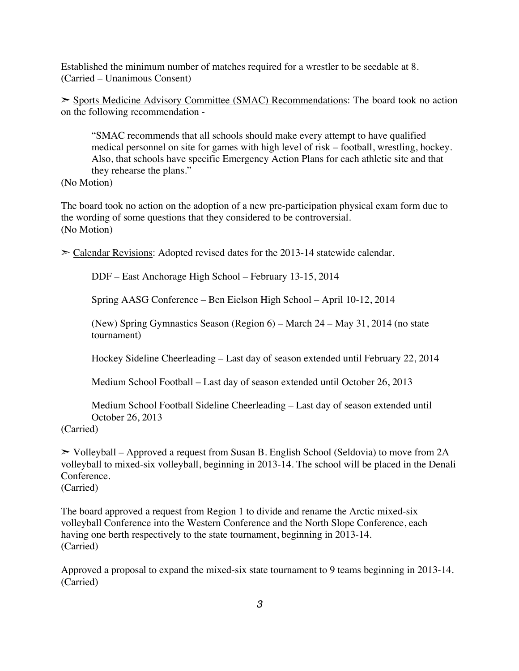Established the minimum number of matches required for a wrestler to be seedable at 8. (Carried – Unanimous Consent)

➣ Sports Medicine Advisory Committee (SMAC) Recommendations: The board took no action on the following recommendation -

"SMAC recommends that all schools should make every attempt to have qualified medical personnel on site for games with high level of risk – football, wrestling, hockey. Also, that schools have specific Emergency Action Plans for each athletic site and that they rehearse the plans."

(No Motion)

The board took no action on the adoption of a new pre-participation physical exam form due to the wording of some questions that they considered to be controversial. (No Motion)

 $\geq$  Calendar Revisions: Adopted revised dates for the 2013-14 statewide calendar.

DDF – East Anchorage High School – February 13-15, 2014

Spring AASG Conference – Ben Eielson High School – April 10-12, 2014

(New) Spring Gymnastics Season (Region 6) – March 24 – May 31, 2014 (no state tournament)

Hockey Sideline Cheerleading – Last day of season extended until February 22, 2014

Medium School Football – Last day of season extended until October 26, 2013

Medium School Football Sideline Cheerleading – Last day of season extended until October 26, 2013

(Carried)

 $\geq$  Volleyball – Approved a request from Susan B. English School (Seldovia) to move from 2A volleyball to mixed-six volleyball, beginning in 2013-14. The school will be placed in the Denali Conference.

(Carried)

The board approved a request from Region 1 to divide and rename the Arctic mixed-six volleyball Conference into the Western Conference and the North Slope Conference, each having one berth respectively to the state tournament, beginning in 2013-14. (Carried)

Approved a proposal to expand the mixed-six state tournament to 9 teams beginning in 2013-14. (Carried)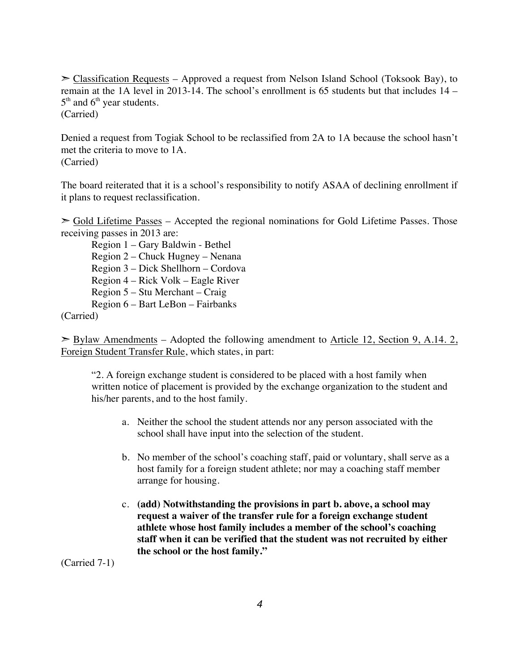$\geq$  Classification Requests – Approved a request from Nelson Island School (Toksook Bay), to remain at the 1A level in 2013-14. The school's enrollment is 65 students but that includes 14 –  $5<sup>th</sup>$  and  $6<sup>th</sup>$  year students.

(Carried)

Denied a request from Togiak School to be reclassified from 2A to 1A because the school hasn't met the criteria to move to 1A. (Carried)

The board reiterated that it is a school's responsibility to notify ASAA of declining enrollment if it plans to request reclassification.

 $\geq$  Gold Lifetime Passes – Accepted the regional nominations for Gold Lifetime Passes. Those receiving passes in 2013 are:

Region 1 – Gary Baldwin - Bethel Region 2 – Chuck Hugney – Nenana Region 3 – Dick Shellhorn – Cordova Region 4 – Rick Volk – Eagle River Region 5 – Stu Merchant – Craig Region 6 – Bart LeBon – Fairbanks

(Carried)

 $\geq$  Bylaw Amendments – Adopted the following amendment to Article 12, Section 9, A.14. 2, Foreign Student Transfer Rule, which states, in part:

"2. A foreign exchange student is considered to be placed with a host family when written notice of placement is provided by the exchange organization to the student and his/her parents, and to the host family.

- a. Neither the school the student attends nor any person associated with the school shall have input into the selection of the student.
- b. No member of the school's coaching staff, paid or voluntary, shall serve as a host family for a foreign student athlete; nor may a coaching staff member arrange for housing.
- c. **(add) Notwithstanding the provisions in part b. above, a school may request a waiver of the transfer rule for a foreign exchange student athlete whose host family includes a member of the school's coaching staff when it can be verified that the student was not recruited by either the school or the host family."**

(Carried 7-1)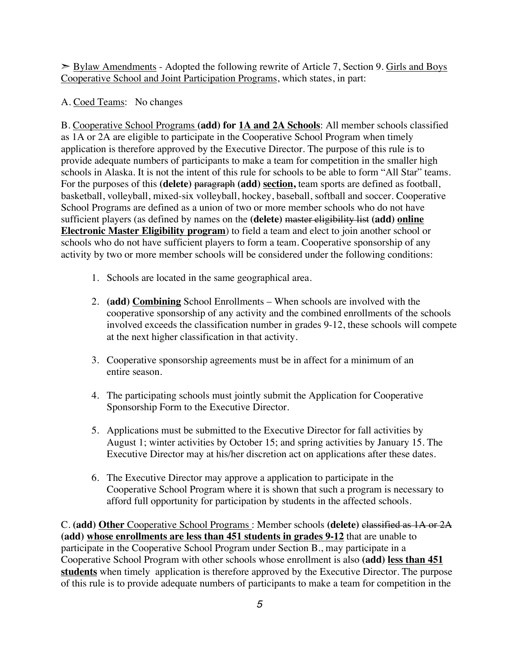➣ Bylaw Amendments - Adopted the following rewrite of Article 7, Section 9. Girls and Boys Cooperative School and Joint Participation Programs, which states, in part:

A. Coed Teams: No changes

B. Cooperative School Programs **(add) for 1A and 2A Schools**: All member schools classified as 1A or 2A are eligible to participate in the Cooperative School Program when timely application is therefore approved by the Executive Director. The purpose of this rule is to provide adequate numbers of participants to make a team for competition in the smaller high schools in Alaska. It is not the intent of this rule for schools to be able to form "All Star" teams. For the purposes of this **(delete)** paragraph **(add) section,** team sports are defined as football, basketball, volleyball, mixed-six volleyball, hockey, baseball, softball and soccer. Cooperative School Programs are defined as a union of two or more member schools who do not have sufficient players (as defined by names on the **(delete)** master eligibility list **(add) online Electronic Master Eligibility program**) to field a team and elect to join another school or schools who do not have sufficient players to form a team. Cooperative sponsorship of any activity by two or more member schools will be considered under the following conditions:

- 1. Schools are located in the same geographical area.
- 2. **(add) Combining** School Enrollments When schools are involved with the cooperative sponsorship of any activity and the combined enrollments of the schools involved exceeds the classification number in grades 9-12, these schools will compete at the next higher classification in that activity.
- 3. Cooperative sponsorship agreements must be in affect for a minimum of an entire season.
- 4. The participating schools must jointly submit the Application for Cooperative Sponsorship Form to the Executive Director.
- 5. Applications must be submitted to the Executive Director for fall activities by August 1; winter activities by October 15; and spring activities by January 15. The Executive Director may at his/her discretion act on applications after these dates.
- 6. The Executive Director may approve a application to participate in the Cooperative School Program where it is shown that such a program is necessary to afford full opportunity for participation by students in the affected schools.

C. **(add) Other** Cooperative School Programs : Member schools **(delete)** classified as 1A or 2A **(add) whose enrollments are less than 451 students in grades 9-12** that are unable to participate in the Cooperative School Program under Section B., may participate in a Cooperative School Program with other schools whose enrollment is also **(add) less than 451 students** when timely application is therefore approved by the Executive Director. The purpose of this rule is to provide adequate numbers of participants to make a team for competition in the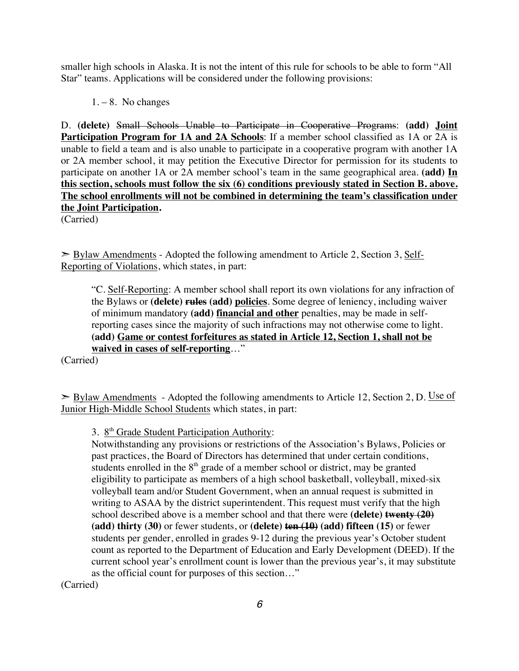smaller high schools in Alaska. It is not the intent of this rule for schools to be able to form "All Star" teams. Applications will be considered under the following provisions:

 $1 - 8$ . No changes

D. **(delete)** Small Schools Unable to Participate in Cooperative Programs: **(add) Joint Participation Program for 1A and 2A Schools:** If a member school classified as 1A or 2A is unable to field a team and is also unable to participate in a cooperative program with another 1A or 2A member school, it may petition the Executive Director for permission for its students to participate on another 1A or 2A member school's team in the same geographical area. **(add) In this section, schools must follow the six (6) conditions previously stated in Section B. above. The school enrollments will not be combined in determining the team's classification under the Joint Participation.**

(Carried)

 $\geq$  Bylaw Amendments - Adopted the following amendment to Article 2, Section 3, Self-Reporting of Violations, which states, in part:

"C. Self-Reporting: A member school shall report its own violations for any infraction of the Bylaws or **(delete) rules (add) policies**. Some degree of leniency, including waiver of minimum mandatory **(add) financial and other** penalties, may be made in selfreporting cases since the majority of such infractions may not otherwise come to light. **(add) Game or contest forfeitures as stated in Article 12, Section 1, shall not be waived in cases of self-reporting**…"

(Carried)

 $\triangleright$  Bylaw Amendments - Adopted the following amendments to Article 12, Section 2, D. Use of Junior High-Middle School Students which states, in part:

3. 8<sup>th</sup> Grade Student Participation Authority:

Notwithstanding any provisions or restrictions of the Association's Bylaws, Policies or past practices, the Board of Directors has determined that under certain conditions, students enrolled in the  $8<sup>th</sup>$  grade of a member school or district, may be granted eligibility to participate as members of a high school basketball, volleyball, mixed-six volleyball team and/or Student Government, when an annual request is submitted in writing to ASAA by the district superintendent. This request must verify that the high school described above is a member school and that there were **(delete) twenty (20) (add) thirty (30)** or fewer students, or **(delete) ten (10) (add) fifteen (15)** or fewer students per gender, enrolled in grades 9-12 during the previous year's October student count as reported to the Department of Education and Early Development (DEED). If the current school year's enrollment count is lower than the previous year's, it may substitute as the official count for purposes of this section…"

(Carried)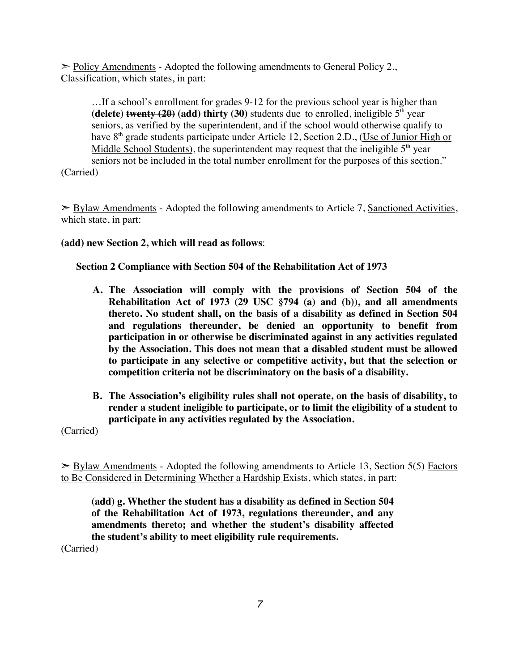$\geq$  Policy Amendments - Adopted the following amendments to General Policy 2., Classification, which states, in part:

…If a school's enrollment for grades 9-12 for the previous school year is higher than **(delete) twenty (20)** (add) **thirty (30)** students due to enrolled, ineligible  $5<sup>th</sup>$  year seniors, as verified by the superintendent, and if the school would otherwise qualify to have  $8<sup>th</sup>$  grade students participate under Article 12, Section 2.D., (Use of Junior High or Middle School Students), the superintendent may request that the ineligible  $5<sup>th</sup>$  year seniors not be included in the total number enrollment for the purposes of this section." (Carried)

 $\geq$  Bylaw Amendments - Adopted the following amendments to Article 7, Sanctioned Activities, which state, in part:

**(add) new Section 2, which will read as follows**:

#### **Section 2 Compliance with Section 504 of the Rehabilitation Act of 1973**

- **A. The Association will comply with the provisions of Section 504 of the Rehabilitation Act of 1973 (29 USC §794 (a) and (b)), and all amendments thereto. No student shall, on the basis of a disability as defined in Section 504 and regulations thereunder, be denied an opportunity to benefit from participation in or otherwise be discriminated against in any activities regulated by the Association. This does not mean that a disabled student must be allowed to participate in any selective or competitive activity, but that the selection or competition criteria not be discriminatory on the basis of a disability.**
- **B. The Association's eligibility rules shall not operate, on the basis of disability, to render a student ineligible to participate, or to limit the eligibility of a student to participate in any activities regulated by the Association.**

(Carried)

 $\triangleright$  Bylaw Amendments - Adopted the following amendments to Article 13, Section 5(5) Factors to Be Considered in Determining Whether a Hardship Exists, which states, in part:

**(add) g. Whether the student has a disability as defined in Section 504 of the Rehabilitation Act of 1973, regulations thereunder, and any amendments thereto; and whether the student's disability affected the student's ability to meet eligibility rule requirements.**

(Carried)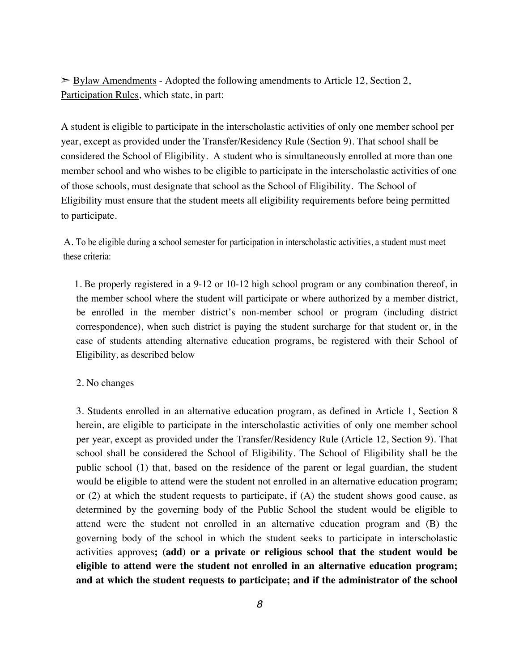$\geq$  Bylaw Amendments - Adopted the following amendments to Article 12, Section 2, Participation Rules, which state, in part:

A student is eligible to participate in the interscholastic activities of only one member school per year, except as provided under the Transfer/Residency Rule (Section 9). That school shall be considered the School of Eligibility. A student who is simultaneously enrolled at more than one member school and who wishes to be eligible to participate in the interscholastic activities of one of those schools, must designate that school as the School of Eligibility. The School of Eligibility must ensure that the student meets all eligibility requirements before being permitted to participate.

A. To be eligible during a school semester for participation in interscholastic activities, a student must meet these criteria:

 1. Be properly registered in a 9-12 or 10-12 high school program or any combination thereof, in the member school where the student will participate or where authorized by a member district, be enrolled in the member district's non-member school or program (including district correspondence), when such district is paying the student surcharge for that student or, in the case of students attending alternative education programs, be registered with their School of Eligibility, as described below

#### 2. No changes

3. Students enrolled in an alternative education program, as defined in Article 1, Section 8 herein, are eligible to participate in the interscholastic activities of only one member school per year, except as provided under the Transfer/Residency Rule (Article 12, Section 9). That school shall be considered the School of Eligibility. The School of Eligibility shall be the public school (1) that, based on the residence of the parent or legal guardian, the student would be eligible to attend were the student not enrolled in an alternative education program; or (2) at which the student requests to participate, if (A) the student shows good cause, as determined by the governing body of the Public School the student would be eligible to attend were the student not enrolled in an alternative education program and (B) the governing body of the school in which the student seeks to participate in interscholastic activities approves**; (add) or a private or religious school that the student would be eligible to attend were the student not enrolled in an alternative education program; and at which the student requests to participate; and if the administrator of the school**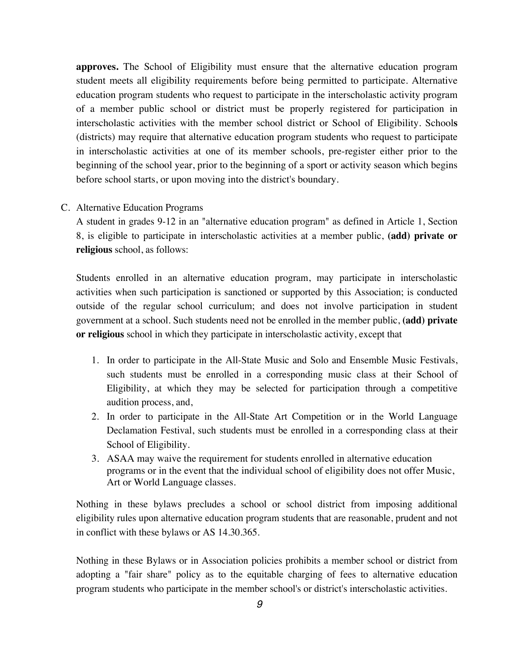**approves.** The School of Eligibility must ensure that the alternative education program student meets all eligibility requirements before being permitted to participate. Alternative education program students who request to participate in the interscholastic activity program of a member public school or district must be properly registered for participation in interscholastic activities with the member school district or School of Eligibility. School**s** (districts) may require that alternative education program students who request to participate in interscholastic activities at one of its member schools, pre-register either prior to the beginning of the school year, prior to the beginning of a sport or activity season which begins before school starts, or upon moving into the district's boundary.

#### C. Alternative Education Programs

A student in grades 9-12 in an "alternative education program" as defined in Article 1, Section 8, is eligible to participate in interscholastic activities at a member public, **(add) private or religious** school, as follows:

Students enrolled in an alternative education program, may participate in interscholastic activities when such participation is sanctioned or supported by this Association; is conducted outside of the regular school curriculum; and does not involve participation in student government at a school. Such students need not be enrolled in the member public, **(add) private or religious** school in which they participate in interscholastic activity, except that

- 1. In order to participate in the All-State Music and Solo and Ensemble Music Festivals, such students must be enrolled in a corresponding music class at their School of Eligibility, at which they may be selected for participation through a competitive audition process, and,
- 2. In order to participate in the All-State Art Competition or in the World Language Declamation Festival, such students must be enrolled in a corresponding class at their School of Eligibility.
- 3. ASAA may waive the requirement for students enrolled in alternative education programs or in the event that the individual school of eligibility does not offer Music, Art or World Language classes.

Nothing in these bylaws precludes a school or school district from imposing additional eligibility rules upon alternative education program students that are reasonable, prudent and not in conflict with these bylaws or AS 14.30.365.

Nothing in these Bylaws or in Association policies prohibits a member school or district from adopting a "fair share" policy as to the equitable charging of fees to alternative education program students who participate in the member school's or district's interscholastic activities.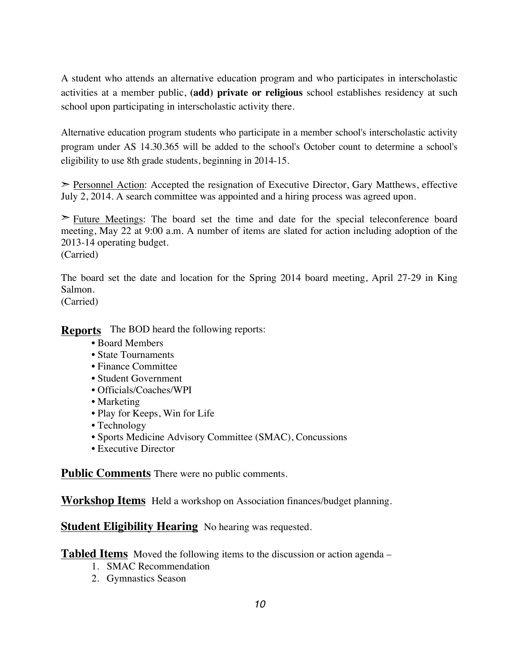A student who attends an alternative education program and who participates in interscholastic activities at a member public, **(add) private or religious** school establishes residency at such school upon participating in interscholastic activity there.

Alternative education program students who participate in a member school's interscholastic activity program under AS 14.30.365 will be added to the school's October count to determine a school's eligibility to use 8th grade students, beginning in 2014-15.

➣ Personnel Action: Accepted the resignation of Executive Director, Gary Matthews, effective July 2, 2014. A search committee was appointed and a hiring process was agreed upon.

 $\geq$  Future Meetings: The board set the time and date for the special teleconference board meeting, May 22 at 9:00 a.m. A number of items are slated for action including adoption of the 2013-14 operating budget.

(Carried)

The board set the date and location for the Spring 2014 board meeting, April 27-29 in King Salmon.

(Carried)

**Reports** The BOD heard the following reports:

- Board Members
- State Tournaments
- Finance Committee
- Student Government
- Officials/Coaches/WPI
- Marketing
- Play for Keeps, Win for Life
- Technology
- Sports Medicine Advisory Committee (SMAC), Concussions
- Executive Director

**Public Comments** There were no public comments.

**Workshop Items** Held a workshop on Association finances/budget planning.

**Student Eligibility Hearing** No hearing was requested.

**Tabled Items** Moved the following items to the discussion or action agenda –

- 1. SMAC Recommendation
- 2. Gymnastics Season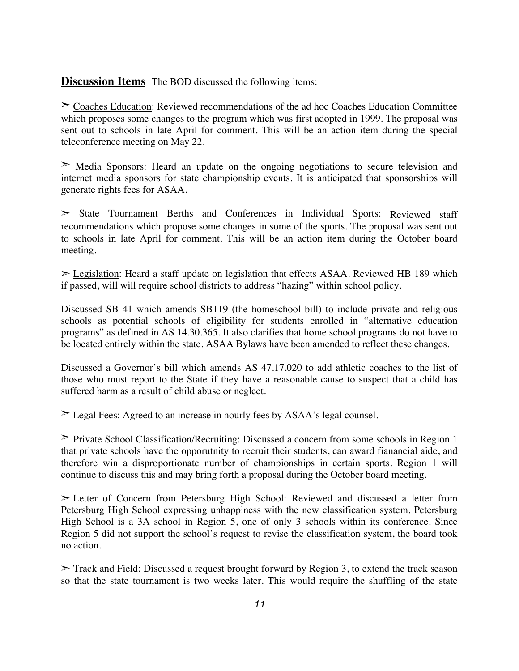**Discussion Items** The BOD discussed the following items:

➣ Coaches Education: Reviewed recommendations of the ad hoc Coaches Education Committee which proposes some changes to the program which was first adopted in 1999. The proposal was sent out to schools in late April for comment. This will be an action item during the special teleconference meeting on May 22.

 $\geq$  Media Sponsors: Heard an update on the ongoing negotiations to secure television and internet media sponsors for state championship events. It is anticipated that sponsorships will generate rights fees for ASAA.

➣ State Tournament Berths and Conferences in Individual Sports: Reviewed staff recommendations which propose some changes in some of the sports. The proposal was sent out to schools in late April for comment. This will be an action item during the October board meeting.

➣ Legislation: Heard a staff update on legislation that effects ASAA. Reviewed HB 189 which if passed, will will require school districts to address "hazing" within school policy.

Discussed SB 41 which amends SB119 (the homeschool bill) to include private and religious schools as potential schools of eligibility for students enrolled in "alternative education programs" as defined in AS 14.30.365. It also clarifies that home school programs do not have to be located entirely within the state. ASAA Bylaws have been amended to reflect these changes.

Discussed a Governor's bill which amends AS 47.17.020 to add athletic coaches to the list of those who must report to the State if they have a reasonable cause to suspect that a child has suffered harm as a result of child abuse or neglect.

➣ Legal Fees: Agreed to an increase in hourly fees by ASAA's legal counsel.

➣ Private School Classification/Recruiting: Discussed a concern from some schools in Region 1 that private schools have the opporutnity to recruit their students, can award fianancial aide, and therefore win a disproportionate number of championships in certain sports. Region 1 will continue to discuss this and may bring forth a proposal during the October board meeting.

➣ Letter of Concern from Petersburg High School: Reviewed and discussed a letter from Petersburg High School expressing unhappiness with the new classification system. Petersburg High School is a 3A school in Region 5, one of only 3 schools within its conference. Since Region 5 did not support the school's request to revise the classification system, the board took no action.

 $\geq$  Track and Field: Discussed a request brought forward by Region 3, to extend the track season so that the state tournament is two weeks later. This would require the shuffling of the state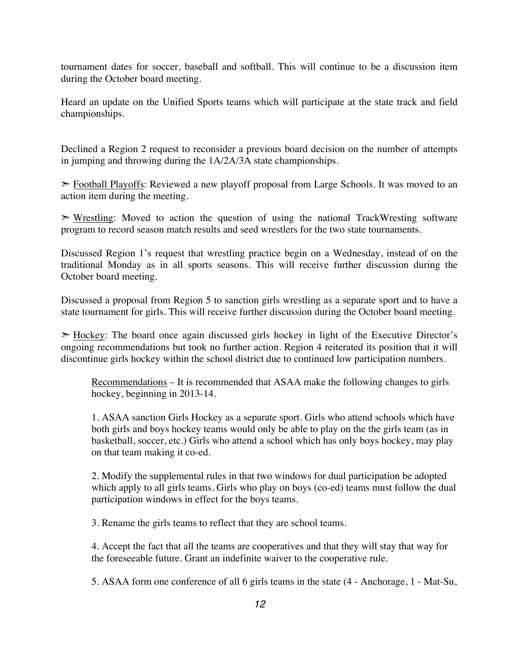tournament dates for soccer, baseball and softball. This will continue to be a discussion item during the October board meeting.

Heard an update on the Unified Sports teams which will participate at the state track and field championships.

Declined a Region 2 request to reconsider a previous board decision on the number of attempts in jumping and throwing during the 1A/2A/3A state championships.

➣ Football Playoffs: Reviewed a new playoff proposal from Large Schools. It was moved to an action item during the meeting.

 $\triangleright$  Wrestling: Moved to action the question of using the national TrackWresting software program to record season match results and seed wrestlers for the two state tournaments.

Discussed Region 1's request that wrestling practice begin on a Wednesday, instead of on the traditional Monday as in all sports seasons. This will receive further discussion during the October board meeting.

Discussed a proposal from Region 5 to sanction girls wrestling as a separate sport and to have a state tournament for girls. This will receive further discussion during the October board meeting.

 $\geq$  Hockey: The board once again discussed girls hockey in light of the Executive Director's ongoing recommendations but took no further action. Region 4 reiterated its position that it will discontinue girls hockey within the school district due to continued low participation numbers.

Recommendations – It is recommended that ASAA make the following changes to girls hockey, beginning in 2013-14.

1. ASAA sanction Girls Hockey as a separate sport. Girls who attend schools which have both girls and boys hockey teams would only be able to play on the the girls team (as in basketball, soccer, etc.) Girls who attend a school which has only boys hockey, may play on that team making it co-ed.

2. Modify the supplemental rules in that two windows for dual participation be adopted which apply to all girls teams. Girls who play on boys (co-ed) teams must follow the dual participation windows in effect for the boys teams.

3. Rename the girls teams to reflect that they are school teams.

4. Accept the fact that all the teams are cooperatives and that they will stay that way for the foreseeable future. Grant an indefinite waiver to the cooperative rule.

5. ASAA form one conference of all 6 girls teams in the state (4 - Anchorage, 1 - Mat-Su,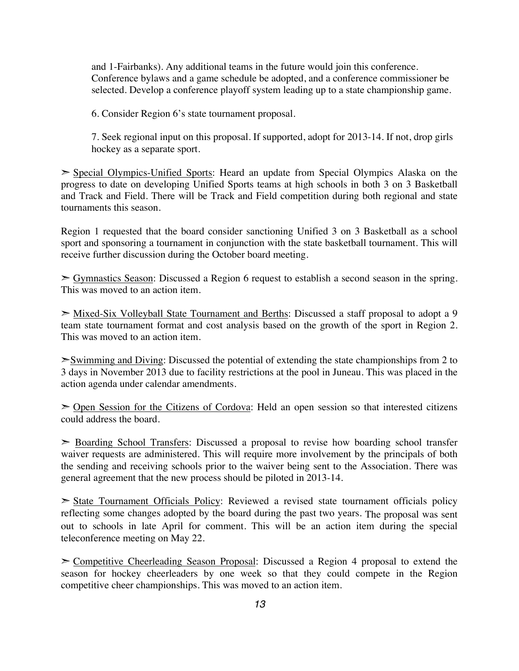and 1-Fairbanks). Any additional teams in the future would join this conference. Conference bylaws and a game schedule be adopted, and a conference commissioner be selected. Develop a conference playoff system leading up to a state championship game.

6. Consider Region 6's state tournament proposal.

7. Seek regional input on this proposal. If supported, adopt for 2013-14. If not, drop girls hockey as a separate sport.

➣ Special Olympics-Unified Sports: Heard an update from Special Olympics Alaska on the progress to date on developing Unified Sports teams at high schools in both 3 on 3 Basketball and Track and Field. There will be Track and Field competition during both regional and state tournaments this season.

Region 1 requested that the board consider sanctioning Unified 3 on 3 Basketball as a school sport and sponsoring a tournament in conjunction with the state basketball tournament. This will receive further discussion during the October board meeting.

 $\geq$  Gymnastics Season: Discussed a Region 6 request to establish a second season in the spring. This was moved to an action item.

➣ Mixed-Six Volleyball State Tournament and Berths: Discussed a staff proposal to adopt a 9 team state tournament format and cost analysis based on the growth of the sport in Region 2. This was moved to an action item.

➣Swimming and Diving: Discussed the potential of extending the state championships from 2 to 3 days in November 2013 due to facility restrictions at the pool in Juneau. This was placed in the action agenda under calendar amendments.

➣ Open Session for the Citizens of Cordova: Held an open session so that interested citizens could address the board.

➣ Boarding School Transfers: Discussed a proposal to revise how boarding school transfer waiver requests are administered. This will require more involvement by the principals of both the sending and receiving schools prior to the waiver being sent to the Association. There was general agreement that the new process should be piloted in 2013-14.

➣ State Tournament Officials Policy: Reviewed a revised state tournament officials policy reflecting some changes adopted by the board during the past two years. The proposal was sent out to schools in late April for comment. This will be an action item during the special teleconference meeting on May 22.

➣ Competitive Cheerleading Season Proposal: Discussed a Region 4 proposal to extend the season for hockey cheerleaders by one week so that they could compete in the Region competitive cheer championships. This was moved to an action item.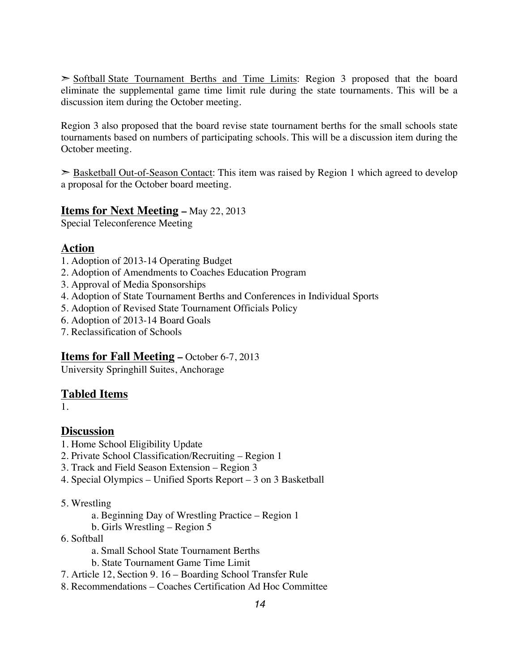➣ Softball State Tournament Berths and Time Limits: Region 3 proposed that the board eliminate the supplemental game time limit rule during the state tournaments. This will be a discussion item during the October meeting.

Region 3 also proposed that the board revise state tournament berths for the small schools state tournaments based on numbers of participating schools. This will be a discussion item during the October meeting.

 $\geq$  Basketball Out-of-Season Contact: This item was raised by Region 1 which agreed to develop a proposal for the October board meeting.

## **Items for Next Meeting –** May 22, 2013

Special Teleconference Meeting

## **Action**

- 1. Adoption of 2013-14 Operating Budget
- 2. Adoption of Amendments to Coaches Education Program
- 3. Approval of Media Sponsorships
- 4. Adoption of State Tournament Berths and Conferences in Individual Sports
- 5. Adoption of Revised State Tournament Officials Policy
- 6. Adoption of 2013-14 Board Goals
- 7. Reclassification of Schools

#### **Items for Fall Meeting –** October 6-7, 2013

University Springhill Suites, Anchorage

## **Tabled Items**

1.

## **Discussion**

- 1. Home School Eligibility Update
- 2. Private School Classification/Recruiting Region 1
- 3. Track and Field Season Extension Region 3
- 4. Special Olympics Unified Sports Report 3 on 3 Basketball
- 5. Wrestling
	- a. Beginning Day of Wrestling Practice Region 1
	- b. Girls Wrestling Region 5
- 6. Softball
	- a. Small School State Tournament Berths
	- b. State Tournament Game Time Limit
- 7. Article 12, Section 9. 16 Boarding School Transfer Rule
- 8. Recommendations Coaches Certification Ad Hoc Committee